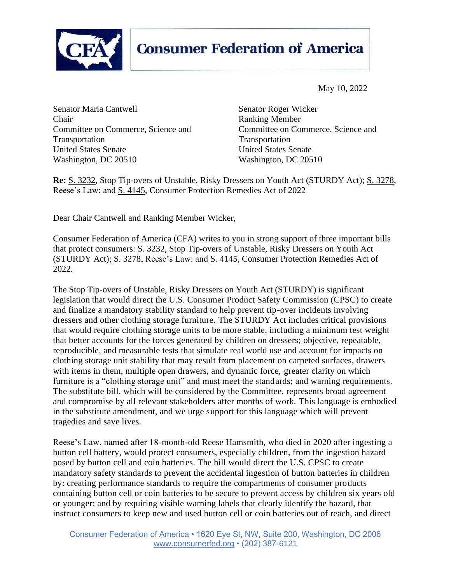

## **Consumer Federation of America**

May 10, 2022

Senator Maria Cantwell Senator Roger Wicker Chair Ranking Member Committee on Commerce, Science and Committee on Commerce, Science and Transportation Transportation United States Senate United States Senate Washington, DC 20510 Washington, DC 20510

**Re:** [S. 3232,](https://www.congress.gov/bill/117th-congress/senate-bill/3232?s=1&r=4) Stop Tip-overs of Unstable, Risky Dressers on Youth Act (STURDY Act); [S. 3278,](https://www.congress.gov/bill/117th-congress/senate-bill/3278) Reese's Law: and [S. 4145,](https://www.commerce.senate.gov/services/files/F3D6932E-46F5-4C3C-A1C4-7AC100DCB716) Consumer Protection Remedies Act of 2022

Dear Chair Cantwell and Ranking Member Wicker,

Consumer Federation of America (CFA) writes to you in strong support of three important bills that protect consumers: [S. 3232,](https://www.congress.gov/bill/117th-congress/senate-bill/3232?s=1&r=4) Stop Tip-overs of Unstable, Risky Dressers on Youth Act (STURDY Act); [S. 3278,](https://www.congress.gov/bill/117th-congress/senate-bill/3278) Reese's Law: and [S. 4145,](https://www.commerce.senate.gov/services/files/F3D6932E-46F5-4C3C-A1C4-7AC100DCB716) Consumer Protection Remedies Act of 2022.

The Stop Tip-overs of Unstable, Risky Dressers on Youth Act (STURDY) is significant legislation that would direct the U.S. Consumer Product Safety Commission (CPSC) to create and finalize a mandatory stability standard to help prevent tip-over incidents involving dressers and other clothing storage furniture. The STURDY Act includes critical provisions that would require clothing storage units to be more stable, including a minimum test weight that better accounts for the forces generated by children on dressers; objective, repeatable, reproducible, and measurable tests that simulate real world use and account for impacts on clothing storage unit stability that may result from placement on carpeted surfaces, drawers with items in them, multiple open drawers, and dynamic force, greater clarity on which furniture is a "clothing storage unit" and must meet the standards; and warning requirements. The substitute bill, which will be considered by the Committee, represents broad agreement and compromise by all relevant stakeholders after months of work. This language is embodied in the substitute amendment, and we urge support for this language which will prevent tragedies and save lives.

Reese's Law, named after 18-month-old Reese Hamsmith, who died in 2020 after ingesting a button cell battery, would protect consumers, especially children, from the ingestion hazard posed by button cell and coin batteries. The bill would direct the U.S. CPSC to create mandatory safety standards to prevent the accidental ingestion of button batteries in children by: creating performance standards to require the compartments of consumer products containing button cell or coin batteries to be secure to prevent access by children six years old or younger; and by requiring visible warning labels that clearly identify the hazard, that instruct consumers to keep new and used button cell or coin batteries out of reach, and direct